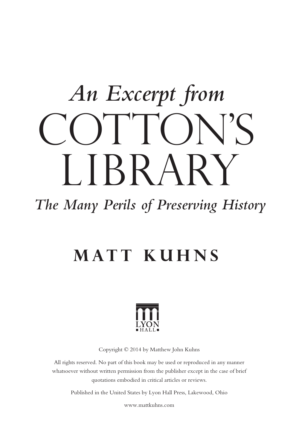# OTTON'S LIBRARY *An Excerpt from*

#### *The Many Perils of Preserving History*

#### **Matt Kuhns**



Copyright © 2014 by Matthew John Kuhns

All rights reserved. No part of this book may be used or reproduced in any manner whatsoever without written permission from the publisher except in the case of brief quotations embodied in critical articles or reviews.

Published in the United States by Lyon Hall Press, Lakewood, Ohio

www.mattkuhns.com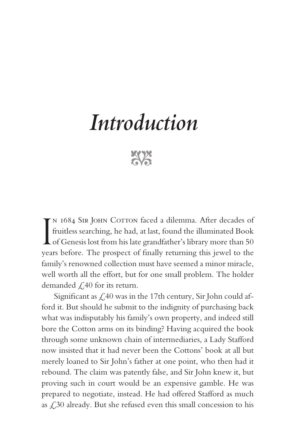## *Introduction*

**EXAM** 

IN 1684 SIR JOHN COTTON faced a dilemma. After decades of fruitless searching, he had, at last, found the illuminated Book of Genesis lost from his late grandfather's library more than 50 N 1684 SIR JOHN COTTON faced a dilemma. After decades of fruitless searching, he had, at last, found the illuminated Book years before. The prospect of finally returning this jewel to the family's renowned collection must have seemed a minor miracle, well worth all the effort, but for one small problem. The holder demanded  $\angle$  40 for its return.

Significant as  $\angle$  40 was in the 17th century, Sir John could afford it. But should he submit to the indignity of purchasing back what was indisputably his family's own property, and indeed still bore the Cotton arms on its binding? Having acquired the book through some unknown chain of intermediaries, a Lady Stafford now insisted that it had never been the Cottons' book at all but merely loaned to Sir John's father at one point, who then had it rebound. The claim was patently false, and Sir John knew it, but proving such in court would be an expensive gamble. He was prepared to negotiate, instead. He had offered Stafford as much as  $\angle$  30 already. But she refused even this small concession to his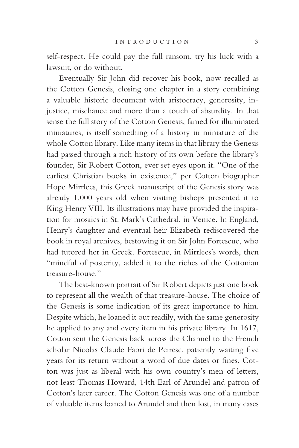self-respect. He could pay the full ransom, try his luck with a lawsuit, or do without.

Eventually Sir John did recover his book, now recalled as the Cotton Genesis, closing one chapter in a story combining a valuable historic document with aristocracy, generosity, injustice, mischance and more than a touch of absurdity. In that sense the full story of the Cotton Genesis, famed for illuminated miniatures, is itself something of a history in miniature of the whole Cotton library. Like many items in that library the Genesis had passed through a rich history of its own before the library's founder, Sir Robert Cotton, ever set eyes upon it. "One of the earliest Christian books in existence," per Cotton biographer Hope Mirrlees, this Greek manuscript of the Genesis story was already 1,000 years old when visiting bishops presented it to King Henry VIII. Its illustrations may have provided the inspiration for mosaics in St. Mark's Cathedral, in Venice. In England, Henry's daughter and eventual heir Elizabeth rediscovered the book in royal archives, bestowing it on Sir John Fortescue, who had tutored her in Greek. Fortescue, in Mirrlees's words, then "mindful of posterity, added it to the riches of the Cottonian treasure-house."

The best-known portrait of Sir Robert depicts just one book to represent all the wealth of that treasure-house. The choice of the Genesis is some indication of its great importance to him. Despite which, he loaned it out readily, with the same generosity he applied to any and every item in his private library. In 1617, Cotton sent the Genesis back across the Channel to the French scholar Nicolas Claude Fabri de Peiresc, patiently waiting five years for its return without a word of due dates or fines. Cotton was just as liberal with his own country's men of letters, not least Thomas Howard, 14th Earl of Arundel and patron of Cotton's later career. The Cotton Genesis was one of a number of valuable items loaned to Arundel and then lost, in many cases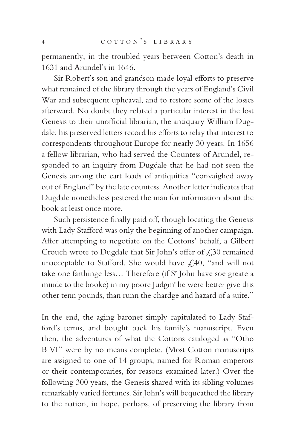permanently, in the troubled years between Cotton's death in 1631 and Arundel's in 1646.

Sir Robert's son and grandson made loyal efforts to preserve what remained of the library through the years of England's Civil War and subsequent upheaval, and to restore some of the losses afterward. No doubt they related a particular interest in the lost Genesis to their unofficial librarian, the antiquary William Dugdale; his preserved letters record his efforts to relay that interest to correspondents throughout Europe for nearly 30 years. In 1656 a fellow librarian, who had served the Countess of Arundel, responded to an inquiry from Dugdale that he had not seen the Genesis among the cart loads of antiquities "convaighed away out of England" by the late countess. Another letter indicates that Dugdale nonetheless pestered the man for information about the book at least once more.

Such persistence finally paid off, though locating the Genesis with Lady Stafford was only the beginning of another campaign. After attempting to negotiate on the Cottons' behalf, a Gilbert Crouch wrote to Dugdale that Sir John's offer of  $\angle$  30 remained unacceptable to Stafford. She would have  $\mathcal{L}$ , 40, "and will not take one farthinge less... Therefore (if S<sup>r</sup> John have soe greate a minde to the booke) in my poore Judgm<sup>t</sup> he were better give this other tenn pounds, than runn the chardge and hazard of a suite."

In the end, the aging baronet simply capitulated to Lady Stafford's terms, and bought back his family's manuscript. Even then, the adventures of what the Cottons cataloged as "Otho B VI" were by no means complete. (Most Cotton manuscripts are assigned to one of 14 groups, named for Roman emperors or their contemporaries, for reasons examined later.) Over the following 300 years, the Genesis shared with its sibling volumes remarkably varied fortunes. Sir John's will bequeathed the library to the nation, in hope, perhaps, of preserving the library from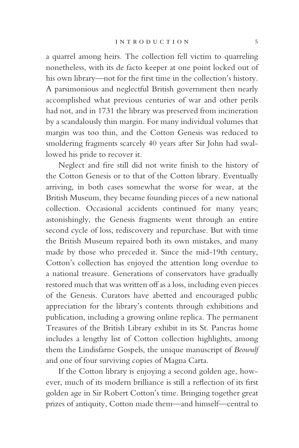a quarrel among heirs. The collection fell victim to quarreling nonetheless, with its de facto keeper at one point locked out of his own library—not for the first time in the collection's history. A parsimonious and neglectful British government then nearly accomplished what previous centuries of war and other perils had not, and in 1731 the library was preserved from incineration by a scandalously thin margin. For many individual volumes that margin was too thin, and the Cotton Genesis was reduced to smoldering fragments scarcely 40 years after Sir John had swallowed his pride to recover it.

Neglect and fire still did not write finish to the history of the Cotton Genesis or to that of the Cotton library. Eventually arriving, in both cases somewhat the worse for wear, at the British Museum, they became founding pieces of a new national collection. Occasional accidents continued for many years; astonishingly, the Genesis fragments went through an entire second cycle of loss, rediscovery and repurchase. But with time the British Museum repaired both its own mistakes, and many made by those who preceded it. Since the mid-19th century, Cotton's collection has enjoyed the attention long overdue to a national treasure. Generations of conservators have gradually restored much that was written off as a loss, including even pieces of the Genesis. Curators have abetted and encouraged public appreciation for the library's contents through exhibitions and publication, including a growing online replica. The permanent Treasures of the British Library exhibit in its St. Pancras home includes a lengthy list of Cotton collection highlights, among them the Lindisfarne Gospels, the unique manuscript of *Beowulf* and one of four surviving copies of Magna Carta.

If the Cotton library is enjoying a second golden age, however, much of its modern brilliance is still a reflection of its first golden age in Sir Robert Cotton's time. Bringing together great prizes of antiquity, Cotton made them—and himself—central to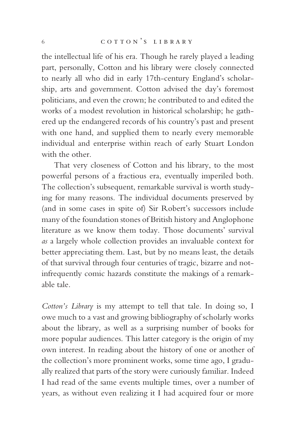the intellectual life of his era. Though he rarely played a leading part, personally, Cotton and his library were closely connected to nearly all who did in early 17th-century England's scholarship, arts and government. Cotton advised the day's foremost politicians, and even the crown; he contributed to and edited the works of a modest revolution in historical scholarship; he gathered up the endangered records of his country's past and present with one hand, and supplied them to nearly every memorable individual and enterprise within reach of early Stuart London with the other.

That very closeness of Cotton and his library, to the most powerful persons of a fractious era, eventually imperiled both. The collection's subsequent, remarkable survival is worth studying for many reasons. The individual documents preserved by (and in some cases in spite of) Sir Robert's successors include many of the foundation stones of British history and Anglophone literature as we know them today. Those documents' survival *as* a largely whole collection provides an invaluable context for better appreciating them. Last, but by no means least, the details of that survival through four centuries of tragic, bizarre and notinfrequently comic hazards constitute the makings of a remarkable tale.

*Cotton's Library* is my attempt to tell that tale. In doing so, I owe much to a vast and growing bibliography of scholarly works about the library, as well as a surprising number of books for more popular audiences. This latter category is the origin of my own interest. In reading about the history of one or another of the collection's more prominent works, some time ago, I gradually realized that parts of the story were curiously familiar. Indeed I had read of the same events multiple times, over a number of years, as without even realizing it I had acquired four or more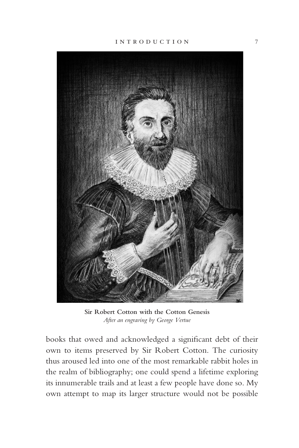

**Sir Robert Cotton with the Cotton Genesis** *After an engraving by George Vertue*

books that owed and acknowledged a significant debt of their own to items preserved by Sir Robert Cotton. The curiosity thus aroused led into one of the most remarkable rabbit holes in the realm of bibliography; one could spend a lifetime exploring its innumerable trails and at least a few people have done so. My own attempt to map its larger structure would not be possible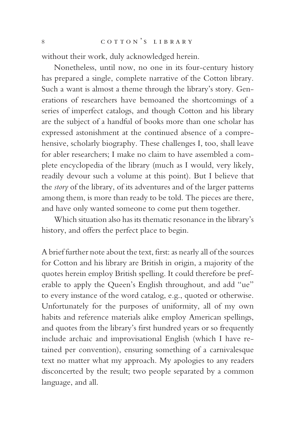without their work, duly acknowledged herein.

Nonetheless, until now, no one in its four-century history has prepared a single, complete narrative of the Cotton library. Such a want is almost a theme through the library's story. Generations of researchers have bemoaned the shortcomings of a series of imperfect catalogs, and though Cotton and his library are the subject of a handful of books more than one scholar has expressed astonishment at the continued absence of a comprehensive, scholarly biography. These challenges I, too, shall leave for abler researchers; I make no claim to have assembled a complete encyclopedia of the library (much as I would, very likely, readily devour such a volume at this point). But I believe that the *story* of the library, of its adventures and of the larger patterns among them, is more than ready to be told. The pieces are there, and have only wanted someone to come put them together.

Which situation also has its thematic resonance in the library's history, and offers the perfect place to begin.

A brief further note about the text, first: as nearly all of the sources for Cotton and his library are British in origin, a majority of the quotes herein employ British spelling. It could therefore be preferable to apply the Queen's English throughout, and add "ue" to every instance of the word catalog, e.g., quoted or otherwise. Unfortunately for the purposes of uniformity, all of my own habits and reference materials alike employ American spellings, and quotes from the library's first hundred years or so frequently include archaic and improvisational English (which I have retained per convention), ensuring something of a carnivalesque text no matter what my approach. My apologies to any readers disconcerted by the result; two people separated by a common language, and all.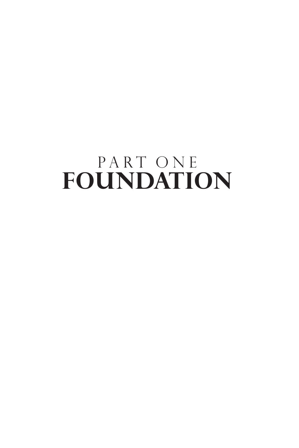### PART ONE **FOUNDATION**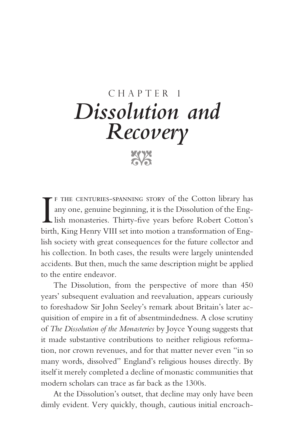#### CHAPTER 1 *Dissolution and Recovery*

xxx

F THE CENTURIES-SPANNING STORY of the Cotton library has any one, genuine beginning, it is the Dissolution of the Eng-<br>lish monasteries. Thirty-five years before Robert Cotton's<br>birth, King Henry VIII set into motion a tra f the centuries-spanning story of the Cotton library has any one, genuine beginning, it is the Dissolution of the English monasteries. Thirty-five years before Robert Cotton's lish society with great consequences for the future collector and his collection. In both cases, the results were largely unintended accidents. But then, much the same description might be applied to the entire endeavor.

The Dissolution, from the perspective of more than 450 years' subsequent evaluation and reevaluation, appears curiously to foreshadow Sir John Seeley's remark about Britain's later acquisition of empire in a fit of absentmindedness. A close scrutiny of *The Dissolution of the Monasteries* by Joyce Young suggests that it made substantive contributions to neither religious reformation, nor crown revenues, and for that matter never even "in so many words, dissolved" England's religious houses directly. By itself it merely completed a decline of monastic communities that modern scholars can trace as far back as the 1300s.

At the Dissolution's outset, that decline may only have been dimly evident. Very quickly, though, cautious initial encroach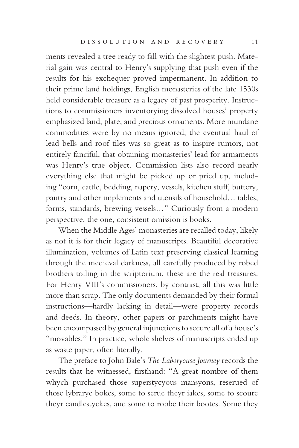ments revealed a tree ready to fall with the slightest push. Material gain was central to Henry's supplying that push even if the results for his exchequer proved impermanent. In addition to their prime land holdings, English monasteries of the late 1530s held considerable treasure as a legacy of past prosperity. Instructions to commissioners inventorying dissolved houses' property emphasized land, plate, and precious ornaments. More mundane commodities were by no means ignored; the eventual haul of lead bells and roof tiles was so great as to inspire rumors, not entirely fanciful, that obtaining monasteries' lead for armaments was Henry's true object. Commission lists also record nearly everything else that might be picked up or pried up, including "corn, cattle, bedding, napery, vessels, kitchen stuff, buttery, pantry and other implements and utensils of household… tables, forms, standards, brewing vessels…" Curiously from a modern perspective, the one, consistent omission is books.

When the Middle Ages' monasteries are recalled today, likely as not it is for their legacy of manuscripts. Beautiful decorative illumination, volumes of Latin text preserving classical learning through the medieval darkness, all carefully produced by robed brothers toiling in the scriptorium; these are the real treasures. For Henry VIII's commissioners, by contrast, all this was little more than scrap. The only documents demanded by their formal instructions—hardly lacking in detail—were property records and deeds. In theory, other papers or parchments might have been encompassed by general injunctions to secure all of a house's "movables." In practice, whole shelves of manuscripts ended up as waste paper, often literally.

The preface to John Bale's *The Laboryouse Journey* records the results that he witnessed, firsthand: "A great nombre of them whych purchased those superstycyous mansyons, reserued of those lybrarye bokes, some to serue theyr iakes, some to scoure theyr candlestyckes, and some to robbe their bootes. Some they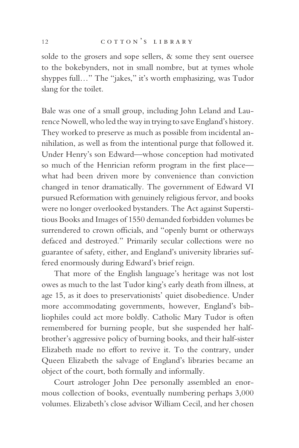solde to the grosers and sope sellers, & some they sent ouersee to the bokebynders, not in small nombre, but at tymes whole shyppes full…" The "jakes," it's worth emphasizing, was Tudor slang for the toilet.

Bale was one of a small group, including John Leland and Laurence Nowell, who led the way in trying to save England's history. They worked to preserve as much as possible from incidental annihilation, as well as from the intentional purge that followed it. Under Henry's son Edward—whose conception had motivated so much of the Henrician reform program in the first place what had been driven more by convenience than conviction changed in tenor dramatically. The government of Edward VI pursued Reformation with genuinely religious fervor, and books were no longer overlooked bystanders. The Act against Superstitious Books and Images of 1550 demanded forbidden volumes be surrendered to crown officials, and "openly burnt or otherways defaced and destroyed." Primarily secular collections were no guarantee of safety, either, and England's university libraries suffered enormously during Edward's brief reign.

That more of the English language's heritage was not lost owes as much to the last Tudor king's early death from illness, at age 15, as it does to preservationists' quiet disobedience. Under more accommodating governments, however, England's bibliophiles could act more boldly. Catholic Mary Tudor is often remembered for burning people, but she suspended her halfbrother's aggressive policy of burning books, and their half-sister Elizabeth made no effort to revive it. To the contrary, under Queen Elizabeth the salvage of England's libraries became an object of the court, both formally and informally.

Court astrologer John Dee personally assembled an enormous collection of books, eventually numbering perhaps 3,000 volumes. Elizabeth's close advisor William Cecil, and her chosen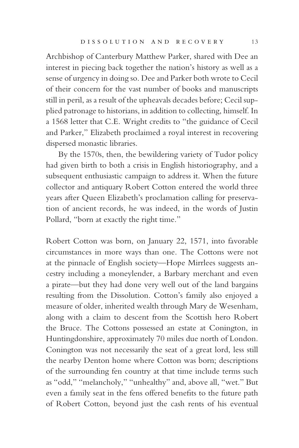Archbishop of Canterbury Matthew Parker, shared with Dee an interest in piecing back together the nation's history as well as a sense of urgency in doing so. Dee and Parker both wrote to Cecil of their concern for the vast number of books and manuscripts still in peril, as a result of the upheavals decades before; Cecil supplied patronage to historians, in addition to collecting, himself. In a 1568 letter that C.E. Wright credits to "the guidance of Cecil and Parker," Elizabeth proclaimed a royal interest in recovering dispersed monastic libraries.

By the 1570s, then, the bewildering variety of Tudor policy had given birth to both a crisis in English historiography, and a subsequent enthusiastic campaign to address it. When the future collector and antiquary Robert Cotton entered the world three years after Queen Elizabeth's proclamation calling for preservation of ancient records, he was indeed, in the words of Justin Pollard, "born at exactly the right time."

Robert Cotton was born, on January 22, 1571, into favorable circumstances in more ways than one. The Cottons were not at the pinnacle of English society—Hope Mirrlees suggests ancestry including a moneylender, a Barbary merchant and even a pirate—but they had done very well out of the land bargains resulting from the Dissolution. Cotton's family also enjoyed a measure of older, inherited wealth through Mary de Wesenham, along with a claim to descent from the Scottish hero Robert the Bruce. The Cottons possessed an estate at Conington, in Huntingdonshire, approximately 70 miles due north of London. Conington was not necessarily the seat of a great lord, less still the nearby Denton home where Cotton was born; descriptions of the surrounding fen country at that time include terms such as "odd," "melancholy," "unhealthy" and, above all, "wet." But even a family seat in the fens offered benefits to the future path of Robert Cotton, beyond just the cash rents of his eventual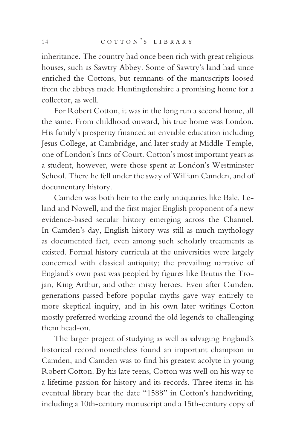inheritance. The country had once been rich with great religious houses, such as Sawtry Abbey. Some of Sawtry's land had since enriched the Cottons, but remnants of the manuscripts loosed from the abbeys made Huntingdonshire a promising home for a collector, as well.

For Robert Cotton, it was in the long run a second home, all the same. From childhood onward, his true home was London. His family's prosperity financed an enviable education including Jesus College, at Cambridge, and later study at Middle Temple, one of London's Inns of Court. Cotton's most important years as a student, however, were those spent at London's Westminster School. There he fell under the sway of William Camden, and of documentary history.

Camden was both heir to the early antiquaries like Bale, Leland and Nowell, and the first major English proponent of a new evidence-based secular history emerging across the Channel. In Camden's day, English history was still as much mythology as documented fact, even among such scholarly treatments as existed. Formal history curricula at the universities were largely concerned with classical antiquity; the prevailing narrative of England's own past was peopled by figures like Brutus the Trojan, King Arthur, and other misty heroes. Even after Camden, generations passed before popular myths gave way entirely to more skeptical inquiry, and in his own later writings Cotton mostly preferred working around the old legends to challenging them head-on.

The larger project of studying as well as salvaging England's historical record nonetheless found an important champion in Camden, and Camden was to find his greatest acolyte in young Robert Cotton. By his late teens, Cotton was well on his way to a lifetime passion for history and its records. Three items in his eventual library bear the date "1588" in Cotton's handwriting, including a 10th-century manuscript and a 15th-century copy of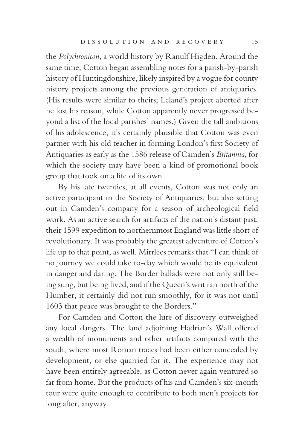the *Polychronicon*, a world history by Ranulf Higden. Around the same time, Cotton began assembling notes for a parish-by-parish history of Huntingdonshire, likely inspired by a vogue for county history projects among the previous generation of antiquaries. (His results were similar to theirs; Leland's project aborted after he lost his reason, while Cotton apparently never progressed beyond a list of the local parishes' names.) Given the tall ambitions of his adolescence, it's certainly plausible that Cotton was even partner with his old teacher in forming London's first Society of Antiquaries as early as the 1586 release of Camden's *Britannia*, for which the society may have been a kind of promotional book group that took on a life of its own.

By his late twenties, at all events, Cotton was not only an active participant in the Society of Antiquaries, but also setting out in Camden's company for a season of archeological field work. As an active search for artifacts of the nation's distant past, their 1599 expedition to northernmost England was little short of revolutionary. It was probably the greatest adventure of Cotton's life up to that point, as well. Mirrlees remarks that "I can think of no journey we could take to-day which would be its equivalent in danger and daring. The Border ballads were not only still being sung, but being lived, and if the Queen's writ ran north of the Humber, it certainly did not run smoothly, for it was not until 1603 that peace was brought to the Borders."

For Camden and Cotton the lure of discovery outweighed any local dangers. The land adjoining Hadrian's Wall offered a wealth of monuments and other artifacts compared with the south, where most Roman traces had been either concealed by development, or else quarried for it. The experience may not have been entirely agreeable, as Cotton never again ventured so far from home. But the products of his and Camden's six-month tour were quite enough to contribute to both men's projects for long after, anyway.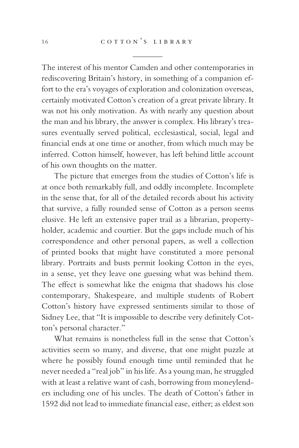The interest of his mentor Camden and other contemporaries in rediscovering Britain's history, in something of a companion effort to the era's voyages of exploration and colonization overseas, certainly motivated Cotton's creation of a great private library. It was not his only motivation. As with nearly any question about the man and his library, the answer is complex. His library's treasures eventually served political, ecclesiastical, social, legal and financial ends at one time or another, from which much may be inferred. Cotton himself, however, has left behind little account of his own thoughts on the matter.

The picture that emerges from the studies of Cotton's life is at once both remarkably full, and oddly incomplete. Incomplete in the sense that, for all of the detailed records about his activity that survive, a fully rounded sense of Cotton as a person seems elusive. He left an extensive paper trail as a librarian, propertyholder, academic and courtier. But the gaps include much of his correspondence and other personal papers, as well a collection of printed books that might have constituted a more personal library. Portraits and busts permit looking Cotton in the eyes, in a sense, yet they leave one guessing what was behind them. The effect is somewhat like the enigma that shadows his close contemporary, Shakespeare, and multiple students of Robert Cotton's history have expressed sentiments similar to those of Sidney Lee, that "It is impossible to describe very definitely Cotton's personal character."

What remains is nonetheless full in the sense that Cotton's activities seem so many, and diverse, that one might puzzle at where he possibly found enough time until reminded that he never needed a "real job" in his life. As a young man, he struggled with at least a relative want of cash, borrowing from moneylenders including one of his uncles. The death of Cotton's father in 1592 did not lead to immediate financial ease, either; as eldest son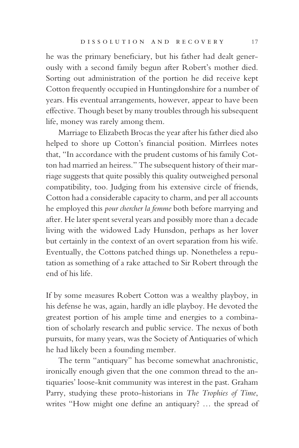he was the primary beneficiary, but his father had dealt generously with a second family begun after Robert's mother died. Sorting out administration of the portion he did receive kept Cotton frequently occupied in Huntingdonshire for a number of years. His eventual arrangements, however, appear to have been effective. Though beset by many troubles through his subsequent life, money was rarely among them.

Marriage to Elizabeth Brocas the year after his father died also helped to shore up Cotton's financial position. Mirrlees notes that, "In accordance with the prudent customs of his family Cotton had married an heiress." The subsequent history of their marriage suggests that quite possibly this quality outweighed personal compatibility, too. Judging from his extensive circle of friends, Cotton had a considerable capacity to charm, and per all accounts he employed this *pour chercher la femme* both before marrying and after. He later spent several years and possibly more than a decade living with the widowed Lady Hunsdon, perhaps as her lover but certainly in the context of an overt separation from his wife. Eventually, the Cottons patched things up. Nonetheless a reputation as something of a rake attached to Sir Robert through the end of his life.

If by some measures Robert Cotton was a wealthy playboy, in his defense he was, again, hardly an idle playboy. He devoted the greatest portion of his ample time and energies to a combination of scholarly research and public service. The nexus of both pursuits, for many years, was the Society of Antiquaries of which he had likely been a founding member.

The term "antiquary" has become somewhat anachronistic, ironically enough given that the one common thread to the antiquaries' loose-knit community was interest in the past. Graham Parry, studying these proto-historians in *The Trophies of Time*, writes "How might one define an antiquary? … the spread of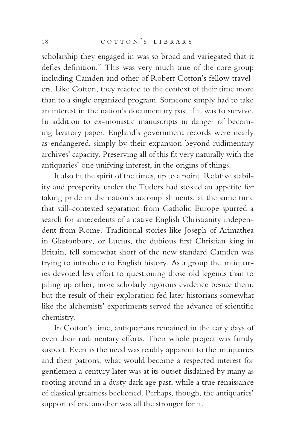scholarship they engaged in was so broad and variegated that it defies definition." This was very much true of the core group including Camden and other of Robert Cotton's fellow travelers. Like Cotton, they reacted to the context of their time more than to a single organized program. Someone simply had to take an interest in the nation's documentary past if it was to survive. In addition to ex-monastic manuscripts in danger of becoming lavatory paper, England's government records were nearly as endangered, simply by their expansion beyond rudimentary archives' capacity. Preserving all of this fit very naturally with the antiquaries' one unifying interest, in the origins of things.

It also fit the spirit of the times, up to a point. Relative stability and prosperity under the Tudors had stoked an appetite for taking pride in the nation's accomplishments, at the same time that still-contested separation from Catholic Europe spurred a search for antecedents of a native English Christianity independent from Rome. Traditional stories like Joseph of Arimathea in Glastonbury, or Lucius, the dubious first Christian king in Britain, fell somewhat short of the new standard Camden was trying to introduce to English history. As a group the antiquaries devoted less effort to questioning those old legends than to piling up other, more scholarly rigorous evidence beside them, but the result of their exploration fed later historians somewhat like the alchemists' experiments served the advance of scientific chemistry.

In Cotton's time, antiquarians remained in the early days of even their rudimentary efforts. Their whole project was faintly suspect. Even as the need was readily apparent to the antiquaries and their patrons, what would become a respected interest for gentlemen a century later was at its outset disdained by many as rooting around in a dusty dark age past, while a true renaissance of classical greatness beckoned. Perhaps, though, the antiquaries' support of one another was all the stronger for it.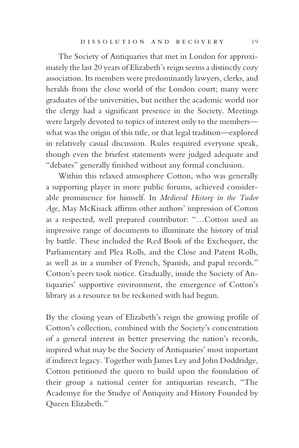The Society of Antiquaries that met in London for approximately the last 20 years of Elizabeth's reign seems a distinctly cozy association. Its members were predominantly lawyers, clerks, and heralds from the close world of the London court; many were graduates of the universities, but neither the academic world nor the clergy had a significant presence in the Society. Meetings were largely devoted to topics of interest only to the members what was the origin of this title, or that legal tradition—explored in relatively casual discussion. Rules required everyone speak, though even the briefest statements were judged adequate and "debates" generally finished without any formal conclusion.

Within this relaxed atmosphere Cotton, who was generally a supporting player in more public forums, achieved considerable prominence for himself. In *Medieval History in the Tudor Age*, May McKisack affirms other authors' impression of Cotton as a respected, well prepared contributor: "…Cotton used an impressive range of documents to illuminate the history of trial by battle. These included the Red Book of the Exchequer, the Parliamentary and Plea Rolls, and the Close and Patent Rolls, as well as in a number of French, Spanish, and papal records." Cotton's peers took notice. Gradually, inside the Society of Antiquaries' supportive environment, the emergence of Cotton's library as a resource to be reckoned with had begun.

By the closing years of Elizabeth's reign the growing profile of Cotton's collection, combined with the Society's concentration of a general interest in better preserving the nation's records, inspired what may be the Society of Antiquaries' most important if indirect legacy. Together with James Ley and John Doddridge, Cotton petitioned the queen to build upon the foundation of their group a national center for antiquarian research, "The Academye for the Studye of Antiquity and History Founded by Queen Elizabeth."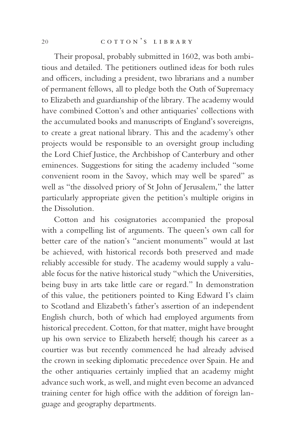Their proposal, probably submitted in 1602, was both ambitious and detailed. The petitioners outlined ideas for both rules and officers, including a president, two librarians and a number of permanent fellows, all to pledge both the Oath of Supremacy to Elizabeth and guardianship of the library. The academy would have combined Cotton's and other antiquaries' collections with the accumulated books and manuscripts of England's sovereigns, to create a great national library. This and the academy's other projects would be responsible to an oversight group including the Lord Chief Justice, the Archbishop of Canterbury and other eminences. Suggestions for siting the academy included "some convenient room in the Savoy, which may well be spared" as well as "the dissolved priory of St John of Jerusalem," the latter particularly appropriate given the petition's multiple origins in the Dissolution.

Cotton and his cosignatories accompanied the proposal with a compelling list of arguments. The queen's own call for better care of the nation's "ancient monuments" would at last be achieved, with historical records both preserved and made reliably accessible for study. The academy would supply a valuable focus for the native historical study "which the Universities, being busy in arts take little care or regard." In demonstration of this value, the petitioners pointed to King Edward I's claim to Scotland and Elizabeth's father's assertion of an independent English church, both of which had employed arguments from historical precedent. Cotton, for that matter, might have brought up his own service to Elizabeth herself; though his career as a courtier was but recently commenced he had already advised the crown in seeking diplomatic precedence over Spain. He and the other antiquaries certainly implied that an academy might advance such work, as well, and might even become an advanced training center for high office with the addition of foreign language and geography departments.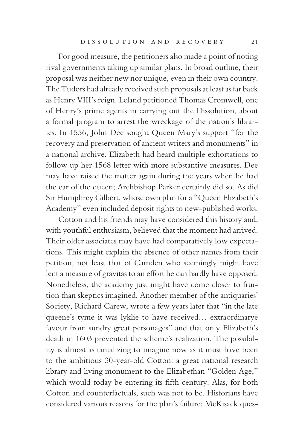For good measure, the petitioners also made a point of noting rival governments taking up similar plans. In broad outline, their proposal was neither new nor unique, even in their own country. The Tudors had already received such proposals at least as far back as Henry VIII's reign. Leland petitioned Thomas Cromwell, one of Henry's prime agents in carrying out the Dissolution, about a formal program to arrest the wreckage of the nation's libraries. In 1556, John Dee sought Queen Mary's support "for the recovery and preservation of ancient writers and monuments" in a national archive. Elizabeth had heard multiple exhortations to follow up her 1568 letter with more substantive measures. Dee may have raised the matter again during the years when he had the ear of the queen; Archbishop Parker certainly did so. As did Sir Humphrey Gilbert, whose own plan for a "Queen Elizabeth's Academy" even included deposit rights to new-published works.

Cotton and his friends may have considered this history and, with youthful enthusiasm, believed that the moment had arrived. Their older associates may have had comparatively low expectations. This might explain the absence of other names from their petition, not least that of Camden who seemingly might have lent a measure of gravitas to an effort he can hardly have opposed. Nonetheless, the academy just might have come closer to fruition than skeptics imagined. Another member of the antiquaries' Society, Richard Carew, wrote a few years later that "in the late queene's tyme it was lyklie to have received… extraordinarye favour from sundry great personages" and that only Elizabeth's death in 1603 prevented the scheme's realization. The possibility is almost as tantalizing to imagine now as it must have been to the ambitious 30-year-old Cotton: a great national research library and living monument to the Elizabethan "Golden Age," which would today be entering its fifth century. Alas, for both Cotton and counterfactuals, such was not to be. Historians have considered various reasons for the plan's failure; McKisack ques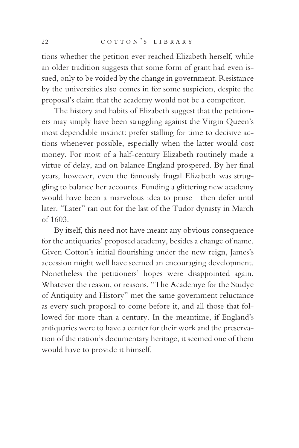tions whether the petition ever reached Elizabeth herself, while an older tradition suggests that some form of grant had even issued, only to be voided by the change in government. Resistance by the universities also comes in for some suspicion, despite the proposal's claim that the academy would not be a competitor.

The history and habits of Elizabeth suggest that the petitioners may simply have been struggling against the Virgin Queen's most dependable instinct: prefer stalling for time to decisive actions whenever possible, especially when the latter would cost money. For most of a half-century Elizabeth routinely made a virtue of delay, and on balance England prospered. By her final years, however, even the famously frugal Elizabeth was struggling to balance her accounts. Funding a glittering new academy would have been a marvelous idea to praise—then defer until later. "Later" ran out for the last of the Tudor dynasty in March of 1603.

By itself, this need not have meant any obvious consequence for the antiquaries' proposed academy, besides a change of name. Given Cotton's initial flourishing under the new reign, James's accession might well have seemed an encouraging development. Nonetheless the petitioners' hopes were disappointed again. Whatever the reason, or reasons, "The Academye for the Studye of Antiquity and History" met the same government reluctance as every such proposal to come before it, and all those that followed for more than a century. In the meantime, if England's antiquaries were to have a center for their work and the preservation of the nation's documentary heritage, it seemed one of them would have to provide it himself.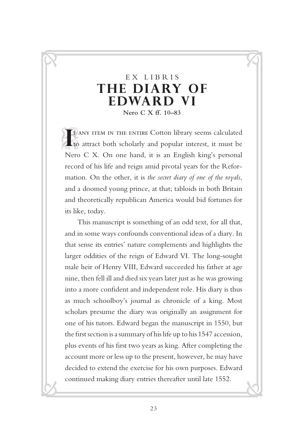#### EX LIBRIS **THE DIARY OF EDWARD VI Nero C X ff. 10–83**

 $\overline{C}$ 

<u>ल</u>

R

<u>V.</u>

**I**F ANY ITEM IN THE ENTIRE Cotton library seems calculated to attract both scholarly and popular interest, it must be F ANY ITEM IN THE ENTIRE Cotton library seems calculated Nero C X. On one hand, it is an English king's personal record of his life and reign amid pivotal years for the Reformation. On the other, it is *the secret diary of one of the royals*, and a doomed young prince, at that; tabloids in both Britain and theoretically republican America would bid fortunes for its like, today.

This manuscript is something of an odd text, for all that, and in some ways confounds conventional ideas of a diary. In that sense its entries' nature complements and highlights the larger oddities of the reign of Edward VI. The long-sought male heir of Henry VIII, Edward succeeded his father at age nine, then fell ill and died six years later just as he was growing into a more confident and independent role. His diary is thus as much schoolboy's journal as chronicle of a king. Most scholars presume the diary was originally an assignment for one of his tutors. Edward began the manuscript in 1550, but the first section is a summary of his life up to his 1547 accession, plus events of his first two years as king. After completing the account more or less up to the present, however, he may have decided to extend the exercise for his own purposes. Edward continued making diary entries thereafter until late 1552.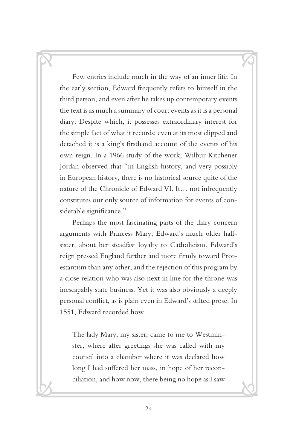Few entries include much in the way of an inner life. In the early section, Edward frequently refers to himself in the third person, and even after he takes up contemporary events the text is as much a summary of court events as it is a personal diary. Despite which, it possesses extraordinary interest for the simple fact of what it records; even at its most clipped and detached it is a king's firsthand account of the events of his own reign. In a 1966 study of the work, Wilbur Kitchener Jordan observed that "in English history, and very possibly in European history, there is no historical source quite of the nature of the Chronicle of Edward VI. It… not infrequently constitutes our only source of information for events of considerable significance."

 $\overline{G}$ 

 $\mathcal{S}$ 

R

<u>V.</u>

Perhaps the most fascinating parts of the diary concern arguments with Princess Mary, Edward's much older halfsister, about her steadfast loyalty to Catholicism. Edward's reign pressed England further and more firmly toward Protestantism than any other, and the rejection of this program by a close relation who was also next in line for the throne was inescapably state business. Yet it was also obviously a deeply personal conflict, as is plain even in Edward's stilted prose. In 1551, Edward recorded how

The lady Mary, my sister, came to me to Westminster, where after greetings she was called with my council into a chamber where it was declared how long I had suffered her mass, in hope of her reconciliation, and how now, there being no hope as I saw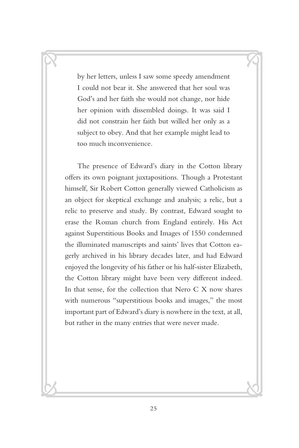by her letters, unless I saw some speedy amendment I could not bear it. She answered that her soul was God's and her faith she would not change, nor hide her opinion with dissembled doings. It was said I did not constrain her faith but willed her only as a subject to obey. And that her example might lead to too much inconvenience.

 $\overline{C}$ 

<u>ल</u>

R

<u>V.</u>

The presence of Edward's diary in the Cotton library offers its own poignant juxtapositions. Though a Protestant himself, Sir Robert Cotton generally viewed Catholicism as an object for skeptical exchange and analysis; a relic, but a relic to preserve and study. By contrast, Edward sought to erase the Roman church from England entirely. His Act against Superstitious Books and Images of 1550 condemned the illuminated manuscripts and saints' lives that Cotton eagerly archived in his library decades later, and had Edward enjoyed the longevity of his father or his half-sister Elizabeth, the Cotton library might have been very different indeed. In that sense, for the collection that Nero C X now shares with numerous "superstitious books and images," the most important part of Edward's diary is nowhere in the text, at all, but rather in the many entries that were never made.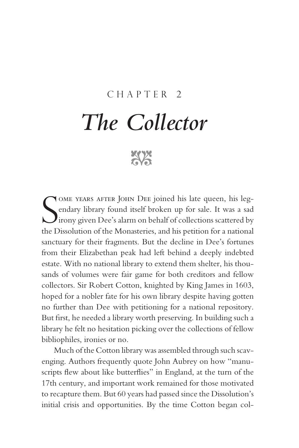#### Chapter 2

## *The Collector*

**xxx** 

S ome years after John Dee joined his late queen, his legendary library found itself broken up for sale. It was a sad  $\bigcup$ irony given Dee's alarm on behalf of collections scattered by the Dissolution of the Monasteries, and his petition for a national sanctuary for their fragments. But the decline in Dee's fortunes from their Elizabethan peak had left behind a deeply indebted estate. With no national library to extend them shelter, his thousands of volumes were fair game for both creditors and fellow collectors. Sir Robert Cotton, knighted by King James in 1603, hoped for a nobler fate for his own library despite having gotten no further than Dee with petitioning for a national repository. But first, he needed a library worth preserving. In building such a library he felt no hesitation picking over the collections of fellow bibliophiles, ironies or no.

Much of the Cotton library was assembled through such scavenging. Authors frequently quote John Aubrey on how "manuscripts flew about like butterflies" in England, at the turn of the 17th century, and important work remained for those motivated to recapture them. But 60 years had passed since the Dissolution's initial crisis and opportunities. By the time Cotton began col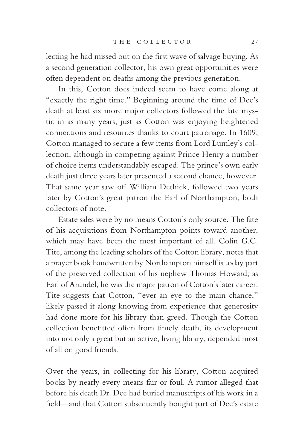lecting he had missed out on the first wave of salvage buying. As a second generation collector, his own great opportunities were often dependent on deaths among the previous generation.

In this, Cotton does indeed seem to have come along at "exactly the right time." Beginning around the time of Dee's death at least six more major collectors followed the late mystic in as many years, just as Cotton was enjoying heightened connections and resources thanks to court patronage. In 1609, Cotton managed to secure a few items from Lord Lumley's collection, although in competing against Prince Henry a number of choice items understandably escaped. The prince's own early death just three years later presented a second chance, however. That same year saw off William Dethick, followed two years later by Cotton's great patron the Earl of Northampton, both collectors of note.

Estate sales were by no means Cotton's only source. The fate of his acquisitions from Northampton points toward another, which may have been the most important of all. Colin G.C. Tite, among the leading scholars of the Cotton library, notes that a prayer book handwritten by Northampton himself is today part of the preserved collection of his nephew Thomas Howard; as Earl of Arundel, he was the major patron of Cotton's later career. Tite suggests that Cotton, "ever an eye to the main chance," likely passed it along knowing from experience that generosity had done more for his library than greed. Though the Cotton collection benefitted often from timely death, its development into not only a great but an active, living library, depended most of all on good friends.

Over the years, in collecting for his library, Cotton acquired books by nearly every means fair or foul. A rumor alleged that before his death Dr. Dee had buried manuscripts of his work in a field—and that Cotton subsequently bought part of Dee's estate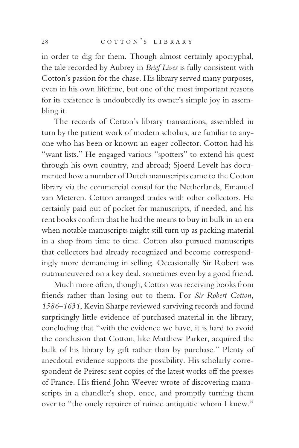in order to dig for them. Though almost certainly apocryphal, the tale recorded by Aubrey in *Brief Lives* is fully consistent with Cotton's passion for the chase. His library served many purposes, even in his own lifetime, but one of the most important reasons for its existence is undoubtedly its owner's simple joy in assembling it.

The records of Cotton's library transactions, assembled in turn by the patient work of modern scholars, are familiar to anyone who has been or known an eager collector. Cotton had his "want lists." He engaged various "spotters" to extend his quest through his own country, and abroad; Sjoerd Levelt has documented how a number of Dutch manuscripts came to the Cotton library via the commercial consul for the Netherlands, Emanuel van Meteren. Cotton arranged trades with other collectors. He certainly paid out of pocket for manuscripts, if needed, and his rent books confirm that he had the means to buy in bulk in an era when notable manuscripts might still turn up as packing material in a shop from time to time. Cotton also pursued manuscripts that collectors had already recognized and become correspondingly more demanding in selling. Occasionally Sir Robert was outmaneuvered on a key deal, sometimes even by a good friend.

Much more often, though, Cotton was receiving books from friends rather than losing out to them. For *Sir Robert Cotton, 1586–1631*, Kevin Sharpe reviewed surviving records and found surprisingly little evidence of purchased material in the library, concluding that "with the evidence we have, it is hard to avoid the conclusion that Cotton, like Matthew Parker, acquired the bulk of his library by gift rather than by purchase." Plenty of anecdotal evidence supports the possibility. His scholarly correspondent de Peiresc sent copies of the latest works off the presses of France. His friend John Weever wrote of discovering manuscripts in a chandler's shop, once, and promptly turning them over to "the onely repairer of ruined antiquitie whom I knew."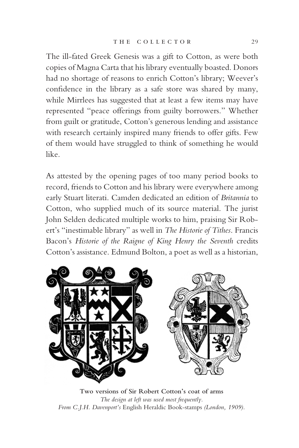The ill-fated Greek Genesis was a gift to Cotton, as were both copies of Magna Carta that his library eventually boasted. Donors had no shortage of reasons to enrich Cotton's library; Weever's confidence in the library as a safe store was shared by many, while Mirrlees has suggested that at least a few items may have represented "peace offerings from guilty borrowers." Whether from guilt or gratitude, Cotton's generous lending and assistance with research certainly inspired many friends to offer gifts. Few of them would have struggled to think of something he would like.

As attested by the opening pages of too many period books to record, friends to Cotton and his library were everywhere among early Stuart literati. Camden dedicated an edition of *Britannia* to Cotton, who supplied much of its source material. The jurist John Selden dedicated multiple works to him, praising Sir Robert's "inestimable library" as well in *The Historie of Tithes*. Francis Bacon's *Historie of the Raigne of King Henry the Seventh* credits Cotton's assistance. Edmund Bolton, a poet as well as a historian,



**Two versions of Sir Robert Cotton's coat of arms** *The design at left was used most frequently. From C.J.H. Davenport's* English Heraldic Book-stamps *(London, 1909).*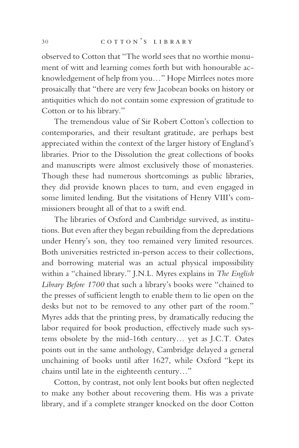observed to Cotton that "The world sees that no worthie monument of witt and learning comes forth but with honourable acknowledgement of help from you…" Hope Mirrlees notes more prosaically that "there are very few Jacobean books on history or antiquities which do not contain some expression of gratitude to Cotton or to his library."

The tremendous value of Sir Robert Cotton's collection to contemporaries, and their resultant gratitude, are perhaps best appreciated within the context of the larger history of England's libraries. Prior to the Dissolution the great collections of books and manuscripts were almost exclusively those of monasteries. Though these had numerous shortcomings as public libraries, they did provide known places to turn, and even engaged in some limited lending. But the visitations of Henry VIII's commissioners brought all of that to a swift end.

The libraries of Oxford and Cambridge survived, as institutions. But even after they began rebuilding from the depredations under Henry's son, they too remained very limited resources. Both universities restricted in-person access to their collections, and borrowing material was an actual physical impossibility within a "chained library." J.N.L. Myres explains in *The English Library Before 1700* that such a library's books were "chained to the presses of sufficient length to enable them to lie open on the desks but not to be removed to any other part of the room." Myres adds that the printing press, by dramatically reducing the labor required for book production, effectively made such systems obsolete by the mid-16th century… yet as J.C.T. Oates points out in the same anthology, Cambridge delayed a general unchaining of books until after 1627, while Oxford "kept its chains until late in the eighteenth century…"

Cotton, by contrast, not only lent books but often neglected to make any bother about recovering them. His was a private library, and if a complete stranger knocked on the door Cotton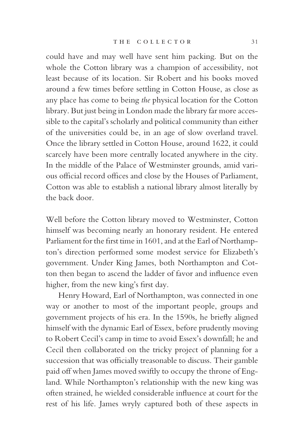could have and may well have sent him packing. But on the whole the Cotton library was a champion of accessibility, not least because of its location. Sir Robert and his books moved around a few times before settling in Cotton House, as close as any place has come to being *the* physical location for the Cotton library. But just being in London made the library far more accessible to the capital's scholarly and political community than either of the universities could be, in an age of slow overland travel. Once the library settled in Cotton House, around 1622, it could scarcely have been more centrally located anywhere in the city. In the middle of the Palace of Westminster grounds, amid various official record offices and close by the Houses of Parliament, Cotton was able to establish a national library almost literally by the back door.

Well before the Cotton library moved to Westminster, Cotton himself was becoming nearly an honorary resident. He entered Parliament for the first time in 1601, and at the Earl of Northampton's direction performed some modest service for Elizabeth's government. Under King James, both Northampton and Cotton then began to ascend the ladder of favor and influence even higher, from the new king's first day.

Henry Howard, Earl of Northampton, was connected in one way or another to most of the important people, groups and government projects of his era. In the 1590s, he briefly aligned himself with the dynamic Earl of Essex, before prudently moving to Robert Cecil's camp in time to avoid Essex's downfall; he and Cecil then collaborated on the tricky project of planning for a succession that was officially treasonable to discuss. Their gamble paid off when James moved swiftly to occupy the throne of England. While Northampton's relationship with the new king was often strained, he wielded considerable influence at court for the rest of his life. James wryly captured both of these aspects in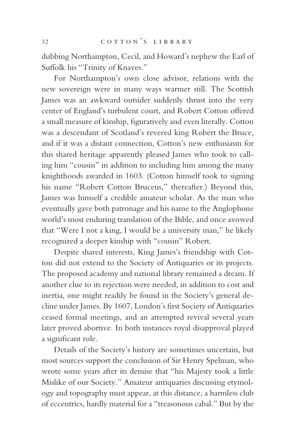dubbing Northampton, Cecil, and Howard's nephew the Earl of Suffolk his "Trinity of Knaves."

For Northampton's own close advisor, relations with the new sovereign were in many ways warmer still. The Scottish James was an awkward outsider suddenly thrust into the very center of England's turbulent court, and Robert Cotton offered a small measure of kinship, figuratively and even literally. Cotton was a descendant of Scotland's revered king Robert the Bruce, and if it was a distant connection, Cotton's new enthusiasm for this shared heritage apparently pleased James who took to calling him "cousin" in addition to including him among the many knighthoods awarded in 1603. (Cotton himself took to signing his name "Robert Cotton Bruceus," thereafter.) Beyond this, James was himself a credible amateur scholar. As the man who eventually gave both patronage and his name to the Anglophone world's most enduring translation of the Bible, and once avowed that "Were I not a king, I would be a university man," he likely recognized a deeper kinship with "cousin" Robert.

Despite shared interests, King James's friendship with Cotton did not extend to the Society of Antiquaries or its projects. The proposed academy and national library remained a dream. If another clue to its rejection were needed, in addition to cost and inertia, one might readily be found in the Society's general decline under James. By 1607, London's first Society of Antiquaries ceased formal meetings, and an attempted revival several years later proved abortive. In both instances royal disapproval played a significant role.

Details of the Society's history are sometimes uncertain, but most sources support the conclusion of Sir Henry Spelman, who wrote some years after its demise that "his Majesty took a little Mislike of our Society." Amateur antiquaries discussing etymology and topography must appear, at this distance, a harmless club of eccentrics, hardly material for a "treasonous cabal." But by the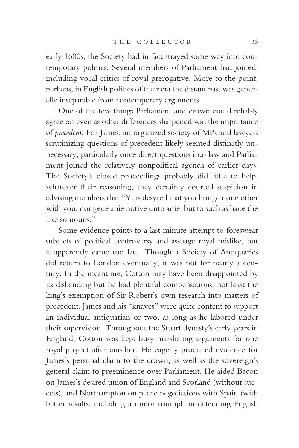early 1600s, the Society had in fact strayed some way into contemporary politics. Several members of Parliament had joined, including vocal critics of royal prerogative. More to the point, perhaps, in English politics of their era the distant past was generally inseparable from contemporary arguments.

One of the few things Parliament and crown could reliably agree on even as other differences sharpened was the importance of *precedent*. For James, an organized society of MPs and lawyers scrutinizing questions of precedent likely seemed distinctly unnecessary, particularly once direct questions into law and Parliament joined the relatively nonpolitical agenda of earlier days. The Society's closed proceedings probably did little to help; whatever their reasoning, they certainly courted suspicion in advising members that "Yt is desyred that you bringe none other with you, nor geue anie notive unto anie, but to such as haue the like somouns."

Some evidence points to a last minute attempt to foreswear subjects of political controversy and assuage royal mislike, but it apparently came too late. Though a Society of Antiquaries did return to London eventually, it was not for nearly a century. In the meantime, Cotton may have been disappointed by its disbanding but he had plentiful compensations, not least the king's exemption of Sir Robert's own research into matters of precedent. James and his "knaves" were quite content to support an individual antiquarian or two, as long as he labored under their supervision. Throughout the Stuart dynasty's early years in England, Cotton was kept busy marshaling arguments for one royal project after another. He eagerly produced evidence for James's personal claim to the crown, as well as the sovereign's general claim to preeminence over Parliament. He aided Bacon on James's desired union of England and Scotland (without success), and Northampton on peace negotiations with Spain (with better results, including a minor triumph in defending English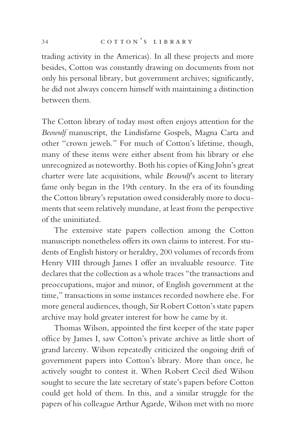trading activity in the Americas). In all these projects and more besides, Cotton was constantly drawing on documents from not only his personal library, but government archives; significantly, he did not always concern himself with maintaining a distinction between them.

The Cotton library of today most often enjoys attention for the *Beowulf* manuscript, the Lindisfarne Gospels, Magna Carta and other "crown jewels." For much of Cotton's lifetime, though, many of these items were either absent from his library or else unrecognized as noteworthy. Both his copies of King John's great charter were late acquisitions, while *Beowulf*'s ascent to literary fame only began in the 19th century. In the era of its founding the Cotton library's reputation owed considerably more to documents that seem relatively mundane, at least from the perspective of the uninitiated.

The extensive state papers collection among the Cotton manuscripts nonetheless offers its own claims to interest. For students of English history or heraldry, 200 volumes of records from Henry VIII through James I offer an invaluable resource. Tite declares that the collection as a whole traces "the transactions and preoccupations, major and minor, of English government at the time," transactions in some instances recorded nowhere else. For more general audiences, though, Sir Robert Cotton's state papers archive may hold greater interest for how he came by it.

Thomas Wilson, appointed the first keeper of the state paper office by James I, saw Cotton's private archive as little short of grand larceny. Wilson repeatedly criticized the ongoing drift of government papers into Cotton's library. More than once, he actively sought to contest it. When Robert Cecil died Wilson sought to secure the late secretary of state's papers before Cotton could get hold of them. In this, and a similar struggle for the papers of his colleague Arthur Agarde, Wilson met with no more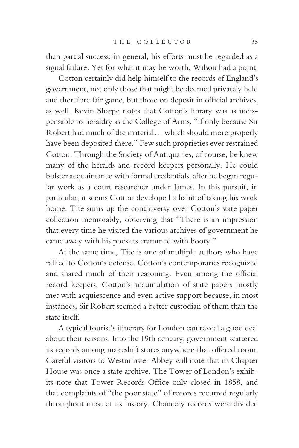than partial success; in general, his efforts must be regarded as a signal failure. Yet for what it may be worth, Wilson had a point.

Cotton certainly did help himself to the records of England's government, not only those that might be deemed privately held and therefore fair game, but those on deposit in official archives, as well. Kevin Sharpe notes that Cotton's library was as indispensable to heraldry as the College of Arms, "if only because Sir Robert had much of the material… which should more properly have been deposited there." Few such proprieties ever restrained Cotton. Through the Society of Antiquaries, of course, he knew many of the heralds and record keepers personally. He could bolster acquaintance with formal credentials, after he began regular work as a court researcher under James. In this pursuit, in particular, it seems Cotton developed a habit of taking his work home. Tite sums up the controversy over Cotton's state paper collection memorably, observing that "There is an impression that every time he visited the various archives of government he came away with his pockets crammed with booty."

At the same time, Tite is one of multiple authors who have rallied to Cotton's defense. Cotton's contemporaries recognized and shared much of their reasoning. Even among the official record keepers, Cotton's accumulation of state papers mostly met with acquiescence and even active support because, in most instances, Sir Robert seemed a better custodian of them than the state itself.

A typical tourist's itinerary for London can reveal a good deal about their reasons. Into the 19th century, government scattered its records among makeshift stores anywhere that offered room. Careful visitors to Westminster Abbey will note that its Chapter House was once a state archive. The Tower of London's exhibits note that Tower Records Office only closed in 1858, and that complaints of "the poor state" of records recurred regularly throughout most of its history. Chancery records were divided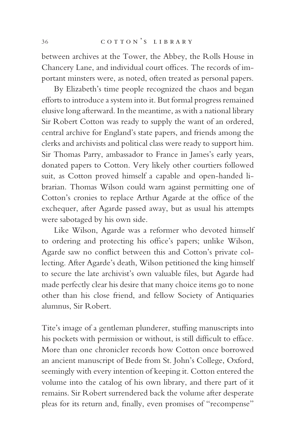between archives at the Tower, the Abbey, the Rolls House in Chancery Lane, and individual court offices. The records of important minsters were, as noted, often treated as personal papers.

By Elizabeth's time people recognized the chaos and began efforts to introduce a system into it. But formal progress remained elusive long afterward. In the meantime, as with a national library Sir Robert Cotton was ready to supply the want of an ordered, central archive for England's state papers, and friends among the clerks and archivists and political class were ready to support him. Sir Thomas Parry, ambassador to France in James's early years, donated papers to Cotton. Very likely other courtiers followed suit, as Cotton proved himself a capable and open-handed librarian. Thomas Wilson could warn against permitting one of Cotton's cronies to replace Arthur Agarde at the office of the exchequer, after Agarde passed away, but as usual his attempts were sabotaged by his own side.

Like Wilson, Agarde was a reformer who devoted himself to ordering and protecting his office's papers; unlike Wilson, Agarde saw no conflict between this and Cotton's private collecting. After Agarde's death, Wilson petitioned the king himself to secure the late archivist's own valuable files, but Agarde had made perfectly clear his desire that many choice items go to none other than his close friend, and fellow Society of Antiquaries alumnus, Sir Robert.

Tite's image of a gentleman plunderer, stuffing manuscripts into his pockets with permission or without, is still difficult to efface. More than one chronicler records how Cotton once borrowed an ancient manuscript of Bede from St. John's College, Oxford, seemingly with every intention of keeping it. Cotton entered the volume into the catalog of his own library, and there part of it remains. Sir Robert surrendered back the volume after desperate pleas for its return and, finally, even promises of "recompense"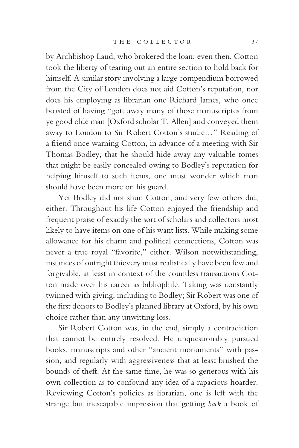by Archbishop Laud, who brokered the loan; even then, Cotton took the liberty of tearing out an entire section to hold back for himself. A similar story involving a large compendium borrowed from the City of London does not aid Cotton's reputation, nor does his employing as librarian one Richard James, who once boasted of having "gott away many of those manuscriptes from ye good olde man [Oxford scholar T. Allen] and conveyed them away to London to Sir Robert Cotton's studie…" Reading of a friend once warning Cotton, in advance of a meeting with Sir Thomas Bodley, that he should hide away any valuable tomes that might be easily concealed owing to Bodley's reputation for helping himself to such items, one must wonder which man should have been more on his guard.

Yet Bodley did not shun Cotton, and very few others did, either. Throughout his life Cotton enjoyed the friendship and frequent praise of exactly the sort of scholars and collectors most likely to have items on one of his want lists. While making some allowance for his charm and political connections, Cotton was never a true royal "favorite," either. Wilson notwithstanding, instances of outright thievery must realistically have been few and forgivable, at least in context of the countless transactions Cotton made over his career as bibliophile. Taking was constantly twinned with giving, including to Bodley; Sir Robert was one of the first donors to Bodley's planned library at Oxford, by his own choice rather than any unwitting loss.

Sir Robert Cotton was, in the end, simply a contradiction that cannot be entirely resolved. He unquestionably pursued books, manuscripts and other "ancient monuments" with passion, and regularly with aggressiveness that at least brushed the bounds of theft. At the same time, he was so generous with his own collection as to confound any idea of a rapacious hoarder. Reviewing Cotton's policies as librarian, one is left with the strange but inescapable impression that getting *back* a book of